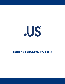

# **usTLD Nexus Requirements Policy**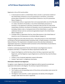

Registrants in the usTLD must be either:

- 1. A natural person (i) who is a United States citizen, (ii) who is a permanent resident of the United States of America or any of its possessions or territories, or (iii) whose primary place of domicile is in the United States of America or any of its possessions [Nexus Category 1],
- 2. A United States entity or organization that is (i) incorporated within one of the fifty (50) U.S. states, the District of Columbia, or any of the United States possessions or territories, or (ii) organized or otherwise constituted under the laws of a state of the United States of America, the District of Columbia or any of its possessions or territories (including a federal, state, or local government of the United States or a political subdivision thereof, and non-commercial organizations based in the United States) [Nexus Category 2], or
- 3. A foreign entity or organization that has a bona fide presence in the United States of America or any of its possessions or territories [Nexus Category 3].

Prospective Registrants will certify that they have a "bona fide presence in the United States" on the basis of real and substantial lawful connections with, or lawful activities in, the United States of America. This requirement is intended to ensure that only those individuals or organizations that have a substantive lawful connection to the United States are permitted to register for usTLD domain names.

It shall be a continuing requirement that all usTLD domain name Registrants remain in compliance with Nexus. To implement the Nexus requirement, NeuStar will:

- Require that Registrars certify that they enforce the Nexus requirement upon their Registrants, and that Registrars require Registrants to certify that they meet the Nexus requirement.
- Conduct a scan of selected registration request information.
- Conduct "spot checks" on Registrant information.

#### **Information Collected From Registrants**

To register a name, Registrants (through their Registrars) will be required to provide basic registration information to the Registry. The minimum required information is:

- The domain name registered;
- The IP address and corresponding names of the primary and secondary name servers for the registered name;
- The Registrar name and URL or, where appropriate, the identity of the delegated manager under whom the name is registered;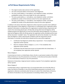## **usTLD Nexus Requirements Policy**



- The original creation date and term of the registration;
- The name and postal address of the domain name Registrant;
- The name, postal address, e-mail address, voice telephone number, and (where available)fax number of the name holder for the name registered;
- The name, postal address, e- mail address, voice telephone number, and (where available) fax number of the technical contact for the name registered; and
- § The name, postal address, e- mail address, voice telephone number, and (where available) fax number of the administrative contact for the name registered.

In addition to the above information, Registrants will be required to provide certain additional Nexus information to their Registrars. Except where it is noted below that a registration will be rejected if information is missing, failure of a registration to satisfy the Nexus requirement will result in the name being placed upon a 30-day hold, during which time the Registrar will be notified and given the opportunity to correct the information with the Registrant. If no action is taken by the Registrar within the 30-day period, the registration will be cancelled and the name will be returned to "available" status. The registration fee will not be refunded. If, on the other hand, the Registrar is able to demonstrate compliance with the requirement and the information is corrected, the hold will be released and the name will be registered.

- Certification that Registrant satisfies Nexus requirement if not completed, then registration will be rejected;
- Basis for compliance (Nexus Category 1, 2, or 3) if not completed, then registration will be rejected;
- Certification that the listed name servers are located within the United States if not completed, then registration will be rejected.

#### **Nexus Category 1**

A natural person (i) who is a United States citizen, (ii) who is a permanent resident of the United States of America or any of its possessions or territories, or (iii) whose primary place of domicile is in the United States of America or any of its possessions.

Statement of citizenship or legal permanent residency required. If not completed, registration will be rejected.

#### **Nexus Category 2**

A United States entity or organization that is (i) incorporated within one of the fifty (50) U.S. states, the District of Columbia, or any of the United States possessions or territories, or (ii) organized or otherwise constituted under the laws of a state of the United States of America, the District of Columbia or any of its possessions or (including a federal, state, or local